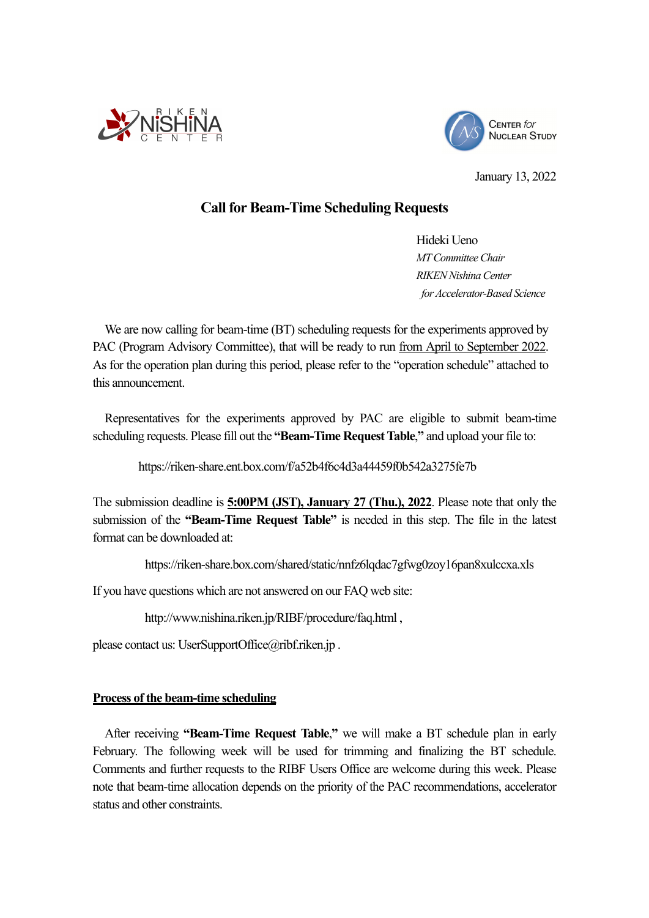



January 13, 2022

# **Call for Beam-Time Scheduling Requests**

Hideki Ueno *MT Committee Chair RIKEN Nishina Center for Accelerator-Based Science* 

 We are now calling for beam-time (BT) scheduling requests for the experiments approved by PAC (Program Advisory Committee), that will be ready to run from April to September 2022. As for the operation plan during this period, please refer to the "operation schedule" attached to this announcement.

 Representatives for the experiments approved by PAC are eligible to submit beam-time scheduling requests. Please fill out the **"Beam-Time Request Table**,**"** and upload your file to:

https://riken-share.ent.box.com/f/a52b4f6c4d3a44459f0b542a3275fe7b

The submission deadline is **5:00PM (JST), January 27 (Thu.), 2022**. Please note that only the submission of the **"Beam-Time Request Table"** is needed in this step. The file in the latest format can be downloaded at:

https://riken-share.box.com/shared/static/nnfz6lqdac7gfwg0zoy16pan8xulccxa.xls

If you have questions which are not answered on our FAQ web site:

http://www.nishina.riken.jp/RIBF/procedure/faq.html ,

please contact us: UserSupportOffice@ribf.riken.jp .

## **Process of the beam-time scheduling**

After receiving **"Beam-Time Request Table**,**"** we will make a BT schedule plan in early February. The following week will be used for trimming and finalizing the BT schedule. Comments and further requests to the RIBF Users Office are welcome during this week. Please note that beam-time allocation depends on the priority of the PAC recommendations, accelerator status and other constraints.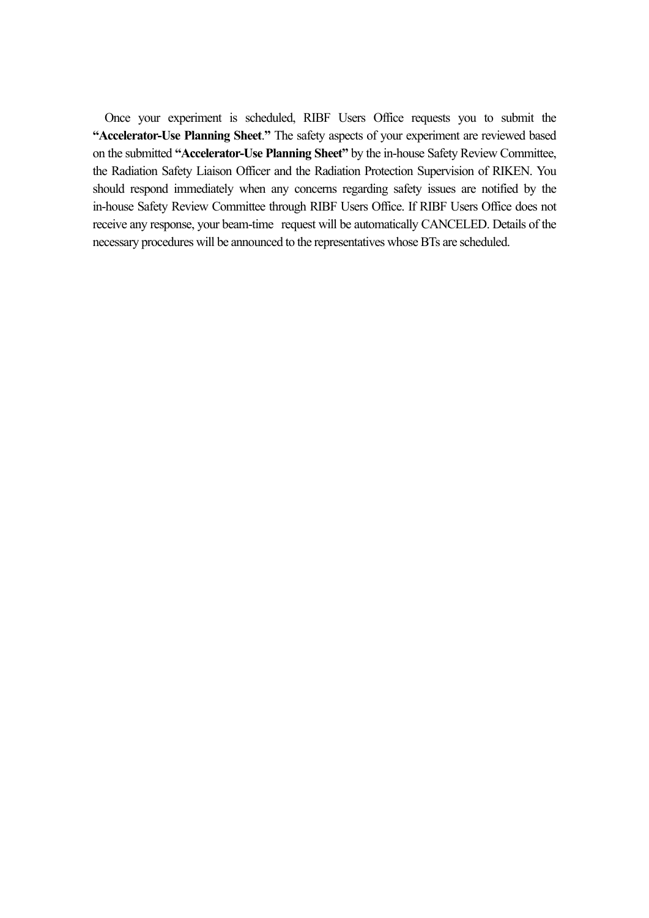Once your experiment is scheduled, RIBF Users Office requests you to submit the **"Accelerator-Use Planning Sheet**.**"** The safety aspects of your experiment are reviewed based on the submitted **"Accelerator-Use Planning Sheet"** by the in-house Safety Review Committee, the Radiation Safety Liaison Officer and the Radiation Protection Supervision of RIKEN. You should respond immediately when any concerns regarding safety issues are notified by the in-house Safety Review Committee through RIBF Users Office. If RIBF Users Office does not receive any response, your beam-time request will be automatically CANCELED. Details of the necessary procedures will be announced to the representatives whose BTs are scheduled.